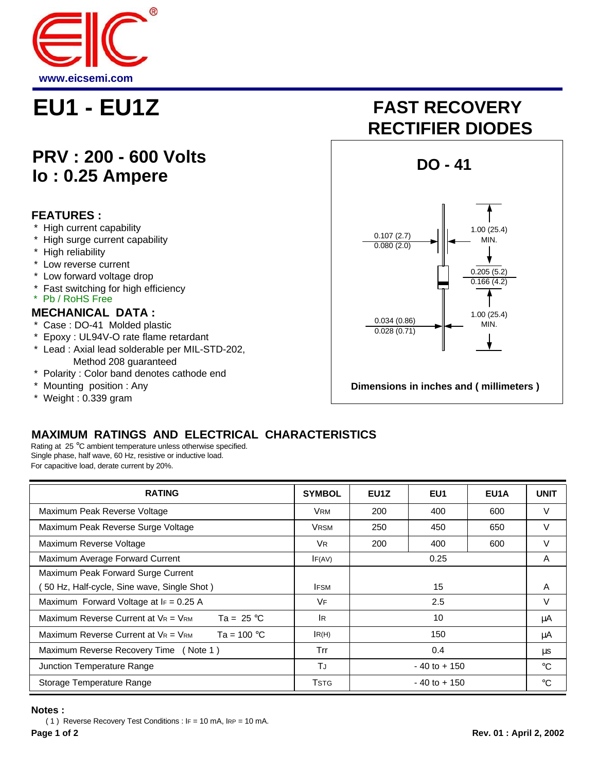

## **PRV : 200 - 600 Volts Io : 0.25 Ampere**

### **FEATURES :**

- High current capability
- \* High surge current capability
- \* High reliability
- \* Low reverse current
- \* Low forward voltage drop
- \* Fast switching for high efficiency
- \* Pb / RoHS Free

#### **MECHANICAL DATA :**

- \* Case : DO-41 Molded plastic
- \* Epoxy : UL94V-O rate flame retardant
- \* Lead : Axial lead solderable per MIL-STD-202, Method 208 guaranteed
- \* Polarity : Color band denotes cathode end
- Mounting position : Any
- \* Weight : 0.339 gram

# **EU1 - EU1Z FAST RECOVERY RECTIFIER DIODES**



## **MAXIMUM RATINGS AND ELECTRICAL CHARACTERISTICS**

Rating at 25 °C ambient temperature unless otherwise specified. Single phase, half wave, 60 Hz, resistive or inductive load. For capacitive load, derate current by 20%.

| <b>RATING</b>                                                    | <b>SYMBOL</b> | EU <sub>1</sub> Z | EU <sub>1</sub> | EU <sub>1</sub> A | <b>UNIT</b> |
|------------------------------------------------------------------|---------------|-------------------|-----------------|-------------------|-------------|
| Maximum Peak Reverse Voltage                                     | <b>VRM</b>    | 200               | 400             | 600               | V           |
| Maximum Peak Reverse Surge Voltage                               | <b>VRSM</b>   | 250               | 450             | 650               | $\vee$      |
| Maximum Reverse Voltage                                          | VR.           | 200               | 400             | 600               | V           |
| Maximum Average Forward Current                                  | IF(AV)        | 0.25              |                 |                   | A           |
| Maximum Peak Forward Surge Current                               |               |                   |                 |                   |             |
| 50 Hz, Half-cycle, Sine wave, Single Shot)                       | <b>IFSM</b>   | 15                |                 |                   | A           |
| Maximum Forward Voltage at $I_F = 0.25$ A                        | VF            | 2.5               |                 |                   | V           |
| Maximum Reverse Current at $V_R = V_{RM}$<br>Ta = $25^{\circ}$ C | <b>IR</b>     | 10                |                 |                   | μA          |
| Maximum Reverse Current at $V_R = V_{RM}$<br>Ta = $100 °C$       | IR(H)         | 150               |                 |                   | μA          |
| Maximum Reverse Recovery Time (Note 1)                           | Trr           | 0.4               |                 |                   | μs          |
| Junction Temperature Range                                       | TJ            | $-40$ to $+150$   |                 |                   | $^{\circ}C$ |
| Storage Temperature Range                                        | <b>T</b> stg  | $-40$ to $+150$   |                 |                   | $^{\circ}C$ |

**Notes :**

 ( 1 ) Reverse Recovery Test Conditions : IF = 10 mA, IRP = 10 mA. **Page 1 of 2 Rev. 01 : April 2, 2002**